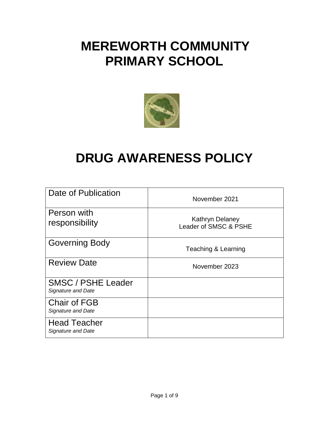# **MEREWORTH COMMUNITY PRIMARY SCHOOL**



# **DRUG AWARENESS POLICY**

| Date of Publication                             | November 2021                                   |
|-------------------------------------------------|-------------------------------------------------|
| Person with<br>responsibility                   | <b>Kathryn Delaney</b><br>Leader of SMSC & PSHE |
| <b>Governing Body</b>                           | <b>Teaching &amp; Learning</b>                  |
| <b>Review Date</b>                              | November 2023                                   |
| <b>SMSC / PSHE Leader</b><br>Signature and Date |                                                 |
| <b>Chair of FGB</b><br>Signature and Date       |                                                 |
| <b>Head Teacher</b><br>Signature and Date       |                                                 |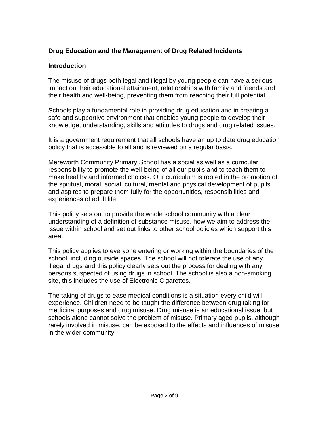# **Drug Education and the Management of Drug Related Incidents**

#### **Introduction**

The misuse of drugs both legal and illegal by young people can have a serious impact on their educational attainment, relationships with family and friends and their health and well-being, preventing them from reaching their full potential.

Schools play a fundamental role in providing drug education and in creating a safe and supportive environment that enables young people to develop their knowledge, understanding, skills and attitudes to drugs and drug related issues.

It is a government requirement that all schools have an up to date drug education policy that is accessible to all and is reviewed on a regular basis.

Mereworth Community Primary School has a social as well as a curricular responsibility to promote the well-being of all our pupils and to teach them to make healthy and informed choices. Our curriculum is rooted in the promotion of the spiritual, moral, social, cultural, mental and physical development of pupils and aspires to prepare them fully for the opportunities, responsibilities and experiences of adult life.

This policy sets out to provide the whole school community with a clear understanding of a definition of substance misuse, how we aim to address the issue within school and set out links to other school policies which support this area.

This policy applies to everyone entering or working within the boundaries of the school, including outside spaces. The school will not tolerate the use of any illegal drugs and this policy clearly sets out the process for dealing with any persons suspected of using drugs in school. The school is also a non-smoking site, this includes the use of Electronic Cigarettes.

The taking of drugs to ease medical conditions is a situation every child will experience. Children need to be taught the difference between drug taking for medicinal purposes and drug misuse. Drug misuse is an educational issue, but schools alone cannot solve the problem of misuse. Primary aged pupils, although rarely involved in misuse, can be exposed to the effects and influences of misuse in the wider community.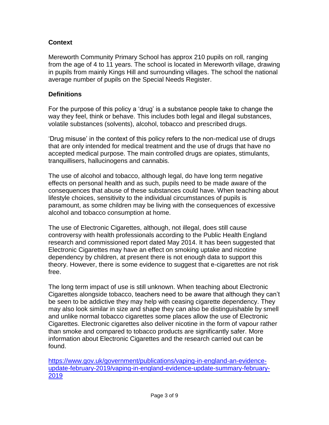### **Context**

Mereworth Community Primary School has approx 210 pupils on roll, ranging from the age of 4 to 11 years. The school is located in Mereworth village, drawing in pupils from mainly Kings Hill and surrounding villages. The school the national average number of pupils on the Special Needs Register.

#### **Definitions**

For the purpose of this policy a 'drug' is a substance people take to change the way they feel, think or behave. This includes both legal and illegal substances, volatile substances (solvents), alcohol, tobacco and prescribed drugs.

'Drug misuse' in the context of this policy refers to the non-medical use of drugs that are only intended for medical treatment and the use of drugs that have no accepted medical purpose. The main controlled drugs are opiates, stimulants, tranquillisers, hallucinogens and cannabis.

The use of alcohol and tobacco, although legal, do have long term negative effects on personal health and as such, pupils need to be made aware of the consequences that abuse of these substances could have. When teaching about lifestyle choices, sensitivity to the individual circumstances of pupils is paramount, as some children may be living with the consequences of excessive alcohol and tobacco consumption at home.

The use of Electronic Cigarettes, although, not illegal, does still cause controversy with health professionals according to the Public Health England research and commissioned report dated May 2014. It has been suggested that Electronic Cigarettes may have an effect on smoking uptake and nicotine dependency by children, at present there is not enough data to support this theory. However, there is some evidence to suggest that e-cigarettes are not risk free.

The long term impact of use is still unknown. When teaching about Electronic Cigarettes alongside tobacco, teachers need to be aware that although they can't be seen to be addictive they may help with ceasing cigarette dependency. They may also look similar in size and shape they can also be distinguishable by smell and unlike normal tobacco cigarettes some places allow the use of Electronic Cigarettes. Electronic cigarettes also deliver nicotine in the form of vapour rather than smoke and compared to tobacco products are significantly safer. More information about Electronic Cigarettes and the research carried out can be found.

[https://www.gov.uk/government/publications/vaping-in-england-an-evidence](https://www.gov.uk/government/publications/vaping-in-england-an-evidence-update-february-2019/vaping-in-england-evidence-update-summary-february-2019)[update-february-2019/vaping-in-england-evidence-update-summary-february-](https://www.gov.uk/government/publications/vaping-in-england-an-evidence-update-february-2019/vaping-in-england-evidence-update-summary-february-2019)[2019](https://www.gov.uk/government/publications/vaping-in-england-an-evidence-update-february-2019/vaping-in-england-evidence-update-summary-february-2019)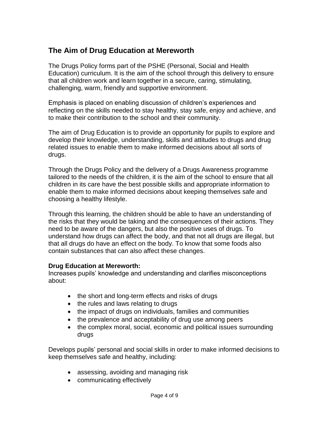# **The Aim of Drug Education at Mereworth**

The Drugs Policy forms part of the PSHE (Personal, Social and Health Education) curriculum. It is the aim of the school through this delivery to ensure that all children work and learn together in a secure, caring, stimulating, challenging, warm, friendly and supportive environment.

Emphasis is placed on enabling discussion of children's experiences and reflecting on the skills needed to stay healthy, stay safe, enjoy and achieve, and to make their contribution to the school and their community.

The aim of Drug Education is to provide an opportunity for pupils to explore and develop their knowledge, understanding, skills and attitudes to drugs and drug related issues to enable them to make informed decisions about all sorts of drugs.

Through the Drugs Policy and the delivery of a Drugs Awareness programme tailored to the needs of the children, it is the aim of the school to ensure that all children in its care have the best possible skills and appropriate information to enable them to make informed decisions about keeping themselves safe and choosing a healthy lifestyle.

Through this learning, the children should be able to have an understanding of the risks that they would be taking and the consequences of their actions. They need to be aware of the dangers, but also the positive uses of drugs. To understand how drugs can affect the body, and that not all drugs are illegal, but that all drugs do have an effect on the body. To know that some foods also contain substances that can also affect these changes.

#### **Drug Education at Mereworth:**

Increases pupils' knowledge and understanding and clarifies misconceptions about:

- the short and long-term effects and risks of drugs
- the rules and laws relating to drugs
- the impact of drugs on individuals, families and communities
- the prevalence and acceptability of drug use among peers
- the complex moral, social, economic and political issues surrounding drugs

Develops pupils' personal and social skills in order to make informed decisions to keep themselves safe and healthy, including:

- assessing, avoiding and managing risk
- communicating effectively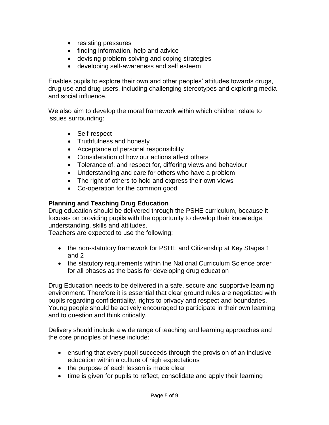- resisting pressures
- finding information, help and advice
- devising problem-solving and coping strategies
- developing self-awareness and self esteem

Enables pupils to explore their own and other peoples' attitudes towards drugs, drug use and drug users, including challenging stereotypes and exploring media and social influence.

We also aim to develop the moral framework within which children relate to issues surrounding:

- Self-respect
- Truthfulness and honesty
- Acceptance of personal responsibility
- Consideration of how our actions affect others
- Tolerance of, and respect for, differing views and behaviour
- Understanding and care for others who have a problem
- The right of others to hold and express their own views
- Co-operation for the common good

#### **Planning and Teaching Drug Education**

Drug education should be delivered through the PSHE curriculum, because it focuses on providing pupils with the opportunity to develop their knowledge, understanding, skills and attitudes.

Teachers are expected to use the following:

- the non-statutory framework for PSHE and Citizenship at Key Stages 1 and 2
- the statutory requirements within the National Curriculum Science order for all phases as the basis for developing drug education

Drug Education needs to be delivered in a safe, secure and supportive learning environment. Therefore it is essential that clear ground rules are negotiated with pupils regarding confidentiality, rights to privacy and respect and boundaries. Young people should be actively encouraged to participate in their own learning and to question and think critically.

Delivery should include a wide range of teaching and learning approaches and the core principles of these include:

- ensuring that every pupil succeeds through the provision of an inclusive education within a culture of high expectations
- the purpose of each lesson is made clear
- time is given for pupils to reflect, consolidate and apply their learning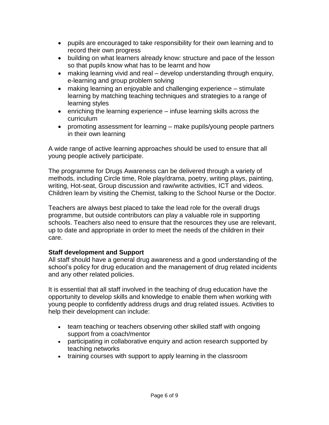- pupils are encouraged to take responsibility for their own learning and to record their own progress
- building on what learners already know: structure and pace of the lesson so that pupils know what has to be learnt and how
- making learning vivid and real develop understanding through enquiry, e-learning and group problem solving
- making learning an enjoyable and challenging experience stimulate learning by matching teaching techniques and strategies to a range of learning styles
- $\bullet$  enriching the learning experience infuse learning skills across the curriculum
- promoting assessment for learning make pupils/young people partners in their own learning

A wide range of active learning approaches should be used to ensure that all young people actively participate.

The programme for Drugs Awareness can be delivered through a variety of methods, including Circle time, Role play/drama, poetry, writing plays, painting, writing, Hot-seat, Group discussion and raw/write activities, ICT and videos. Children learn by visiting the Chemist, talking to the School Nurse or the Doctor.

Teachers are always best placed to take the lead role for the overall drugs programme, but outside contributors can play a valuable role in supporting schools. Teachers also need to ensure that the resources they use are relevant, up to date and appropriate in order to meet the needs of the children in their care.

# **Staff development and Support**

All staff should have a general drug awareness and a good understanding of the school's policy for drug education and the management of drug related incidents and any other related policies.

It is essential that all staff involved in the teaching of drug education have the opportunity to develop skills and knowledge to enable them when working with young people to confidently address drugs and drug related issues. Activities to help their development can include:

- team teaching or teachers observing other skilled staff with ongoing support from a coach/mentor
- participating in collaborative enquiry and action research supported by teaching networks
- training courses with support to apply learning in the classroom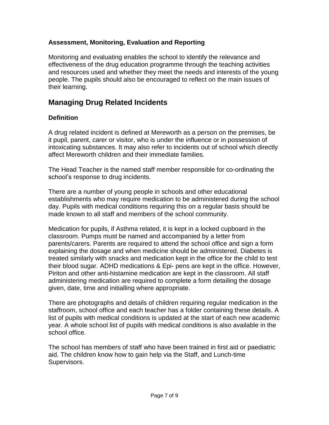#### **Assessment, Monitoring, Evaluation and Reporting**

Monitoring and evaluating enables the school to identify the relevance and effectiveness of the drug education programme through the teaching activities and resources used and whether they meet the needs and interests of the young people. The pupils should also be encouraged to reflect on the main issues of their learning.

# **Managing Drug Related Incidents**

# **Definition**

A drug related incident is defined at Mereworth as a person on the premises, be it pupil, parent, carer or visitor, who is under the influence or in possession of intoxicating substances. It may also refer to incidents out of school which directly affect Mereworth children and their immediate families.

The Head Teacher is the named staff member responsible for co-ordinating the school's response to drug incidents.

There are a number of young people in schools and other educational establishments who may require medication to be administered during the school day. Pupils with medical conditions requiring this on a regular basis should be made known to all staff and members of the school community.

Medication for pupils, if Asthma related, it is kept in a locked cupboard in the classroom. Pumps must be named and accompanied by a letter from parents/carers. Parents are required to attend the school office and sign a form explaining the dosage and when medicine should be administered. Diabetes is treated similarly with snacks and medication kept in the office for the child to test their blood sugar. ADHD medications & Epi- pens are kept in the office. However, Piriton and other anti-histamine medication are kept in the classroom. All staff administering medication are required to complete a form detailing the dosage given, date, time and initialling where appropriate.

There are photographs and details of children requiring regular medication in the staffroom, school office and each teacher has a folder containing these details. A list of pupils with medical conditions is updated at the start of each new academic year. A whole school list of pupils with medical conditions is also available in the school office.

The school has members of staff who have been trained in first aid or paediatric aid. The children know how to gain help via the Staff, and Lunch-time Supervisors.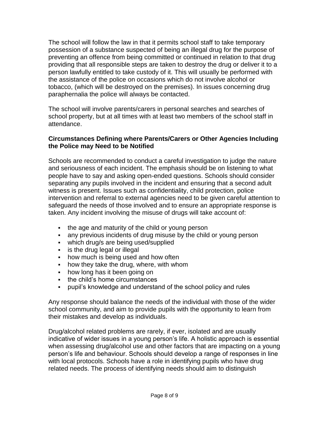The school will follow the law in that it permits school staff to take temporary possession of a substance suspected of being an illegal drug for the purpose of preventing an offence from being committed or continued in relation to that drug providing that all responsible steps are taken to destroy the drug or deliver it to a person lawfully entitled to take custody of it. This will usually be performed with the assistance of the police on occasions which do not involve alcohol or tobacco, (which will be destroyed on the premises). In issues concerning drug paraphernalia the police will always be contacted.

The school will involve parents/carers in personal searches and searches of school property, but at all times with at least two members of the school staff in attendance.

#### **Circumstances Defining where Parents/Carers or Other Agencies Including the Police may Need to be Notified**

Schools are recommended to conduct a careful investigation to judge the nature and seriousness of each incident. The emphasis should be on listening to what people have to say and asking open-ended questions. Schools should consider separating any pupils involved in the incident and ensuring that a second adult witness is present. Issues such as confidentiality, child protection, police intervention and referral to external agencies need to be given careful attention to safeguard the needs of those involved and to ensure an appropriate response is taken. Any incident involving the misuse of drugs will take account of:

- the age and maturity of the child or young person
- any previous incidents of drug misuse by the child or young person
- which drug/s are being used/supplied
- **i** is the drug legal or illegal
- how much is being used and how often
- how they take the drug, where, with whom
- how long has it been going on
- the child's home circumstances
- pupil's knowledge and understand of the school policy and rules

Any response should balance the needs of the individual with those of the wider school community, and aim to provide pupils with the opportunity to learn from their mistakes and develop as individuals.

Drug/alcohol related problems are rarely, if ever, isolated and are usually indicative of wider issues in a young person's life. A holistic approach is essential when assessing drug/alcohol use and other factors that are impacting on a young person's life and behaviour. Schools should develop a range of responses in line with local protocols. Schools have a role in identifying pupils who have drug related needs. The process of identifying needs should aim to distinguish